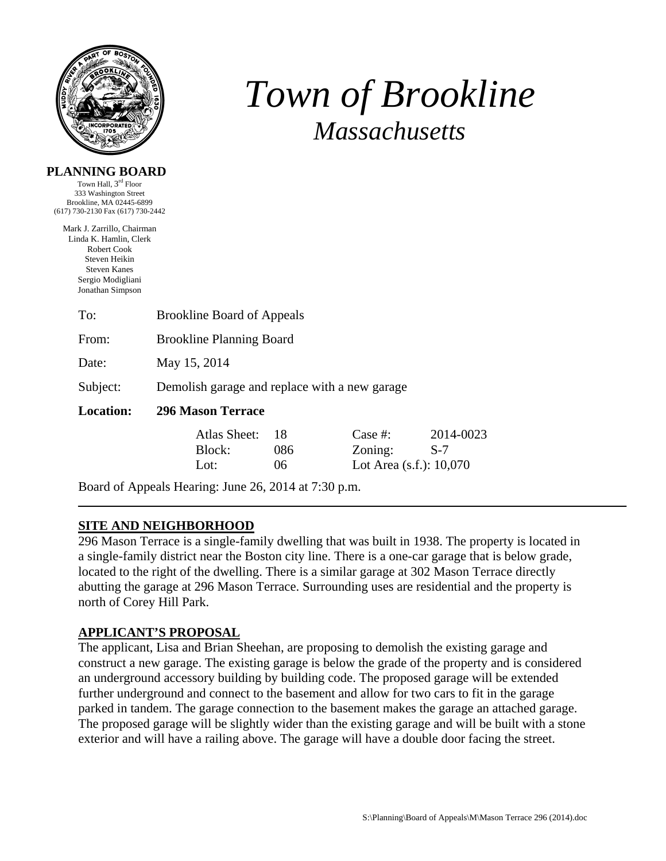

# *Town of Brookline Massachusetts*

| PLANNING BOARD |  |
|----------------|--|
|----------------|--|

Town Hall, 3rd Floor 333 Washington Street Brookline, MA 02445-6899 (617) 730-2130 Fax (617) 730-2442

Mark J. Zarrillo, Chairman Linda K. Hamlin, Clerk Robert Cook Steven Heikin Steven Kanes Sergio Modigliani Jonathan Simpson

| To:              | <b>Brookline Board of Appeals</b>             |              |     |                            |           |  |
|------------------|-----------------------------------------------|--------------|-----|----------------------------|-----------|--|
| From:            | <b>Brookline Planning Board</b>               |              |     |                            |           |  |
| Date:            | May 15, 2014                                  |              |     |                            |           |  |
| Subject:         | Demolish garage and replace with a new garage |              |     |                            |           |  |
| <b>Location:</b> | <b>296 Mason Terrace</b>                      |              |     |                            |           |  |
|                  |                                               | Atlas Sheet: | 18  | Case  #:                   | 2014-0023 |  |
|                  |                                               | Block:       | 086 | Zoning:                    | $S-7$     |  |
|                  |                                               | Lot:         | 06  | Lot Area $(s.f.)$ : 10,070 |           |  |
|                  |                                               |              |     |                            |           |  |

Board of Appeals Hearing: June 26, 2014 at 7:30 p.m.

# **SITE AND NEIGHBORHOOD**

296 Mason Terrace is a single-family dwelling that was built in 1938. The property is located in a single-family district near the Boston city line. There is a one-car garage that is below grade, located to the right of the dwelling. There is a similar garage at 302 Mason Terrace directly abutting the garage at 296 Mason Terrace. Surrounding uses are residential and the property is north of Corey Hill Park.

# **APPLICANT'S PROPOSAL**

The applicant, Lisa and Brian Sheehan, are proposing to demolish the existing garage and construct a new garage. The existing garage is below the grade of the property and is considered an underground accessory building by building code. The proposed garage will be extended further underground and connect to the basement and allow for two cars to fit in the garage parked in tandem. The garage connection to the basement makes the garage an attached garage. The proposed garage will be slightly wider than the existing garage and will be built with a stone exterior and will have a railing above. The garage will have a double door facing the street.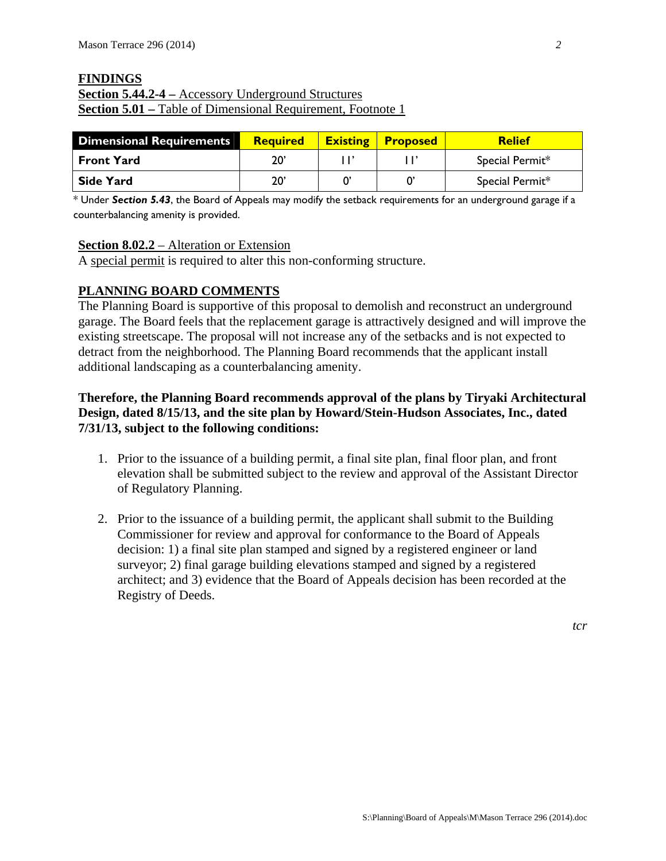# **FINDINGS Section 5.44.2-4 –** Accessory Underground Structures **Section 5.01 – Table of Dimensional Requirement, Footnote 1**

| <b>Dimensional Requirements</b> | Required     | <b>Existing</b> | <b>Proposed</b> | <b>Relief</b>   |
|---------------------------------|--------------|-----------------|-----------------|-----------------|
| <b>Front Yard</b>               | 20'          |                 |                 | Special Permit* |
| Side Yard                       | $20^{\circ}$ |                 |                 | Special Permit* |

\* Under *Section 5.43*, the Board of Appeals may modify the setback requirements for an underground garage if a counterbalancing amenity is provided.

#### **Section 8.02.2** – Alteration or Extension

A special permit is required to alter this non-conforming structure.

## **PLANNING BOARD COMMENTS**

The Planning Board is supportive of this proposal to demolish and reconstruct an underground garage. The Board feels that the replacement garage is attractively designed and will improve the existing streetscape. The proposal will not increase any of the setbacks and is not expected to detract from the neighborhood. The Planning Board recommends that the applicant install additional landscaping as a counterbalancing amenity.

## **Therefore, the Planning Board recommends approval of the plans by Tiryaki Architectural Design, dated 8/15/13, and the site plan by Howard/Stein-Hudson Associates, Inc., dated 7/31/13, subject to the following conditions:**

- 1. Prior to the issuance of a building permit, a final site plan, final floor plan, and front elevation shall be submitted subject to the review and approval of the Assistant Director of Regulatory Planning.
- 2. Prior to the issuance of a building permit, the applicant shall submit to the Building Commissioner for review and approval for conformance to the Board of Appeals decision: 1) a final site plan stamped and signed by a registered engineer or land surveyor; 2) final garage building elevations stamped and signed by a registered architect; and 3) evidence that the Board of Appeals decision has been recorded at the Registry of Deeds.